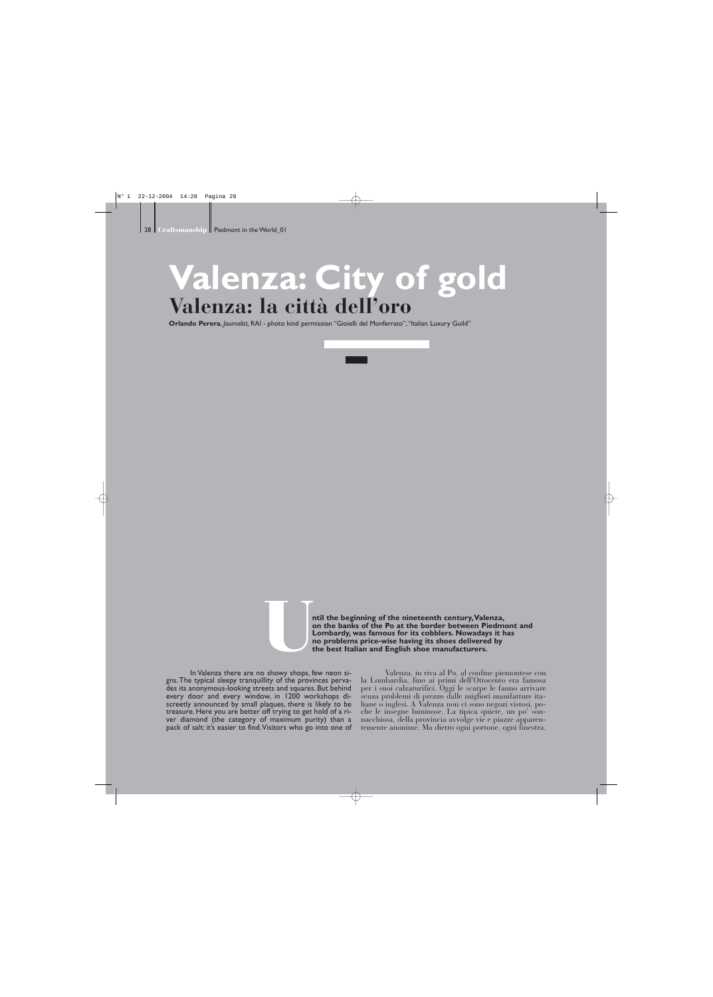## **Valenza: City of gold Valenza: la città dell'oro**

**Orlando Perera**, *Journalist,* RAI *-* photo kind permission "Gioielli del Monferrato","Italian Luxury Guild"





**ntil the beginning of the nineteenth century,Valenza, on the banks of the Po at the border between Piedmont and Lombardy, was famous for its cobblers. Nowadays it has**  ntil the beginning of the nineteenth century, Valenza, on the banks of the Po at the border between Piedm Lombardy, was famous for its cobblers. Nowadays it ho problems price-wise having its shoes delivered by the best Ita

In Valenza there are no showy shops, few neon signs.The typical sleepy tranquillity of the provinces pervades its anonymous-looking streets and squares. But behind every door and every window, in 1200 workshops discreetly announced by small plaques, there is likely to be treasure. Here you are better off trying to get hold of a river diamond (the category of maximum purity) than a pack of salt: it's easier to find.Visitors who go into one of Valenza, in riva al Po, al confine piemontese con la Lombardia, fino ai primi dell'Ottocento era famosa per i suoi calzaturifici. Oggi le scarpe le fanno arrivare senza problemi di prezzo dalle migliori manifatture italiane o inglesi. A Valenza non ci sono negozi vistosi, poche le insegne luminose. La tipica quiete, un po' sonnacchiosa, della provincia avvolge vie e piazze apparentemente anonime. Ma dietro ogni portone, ogni finestra,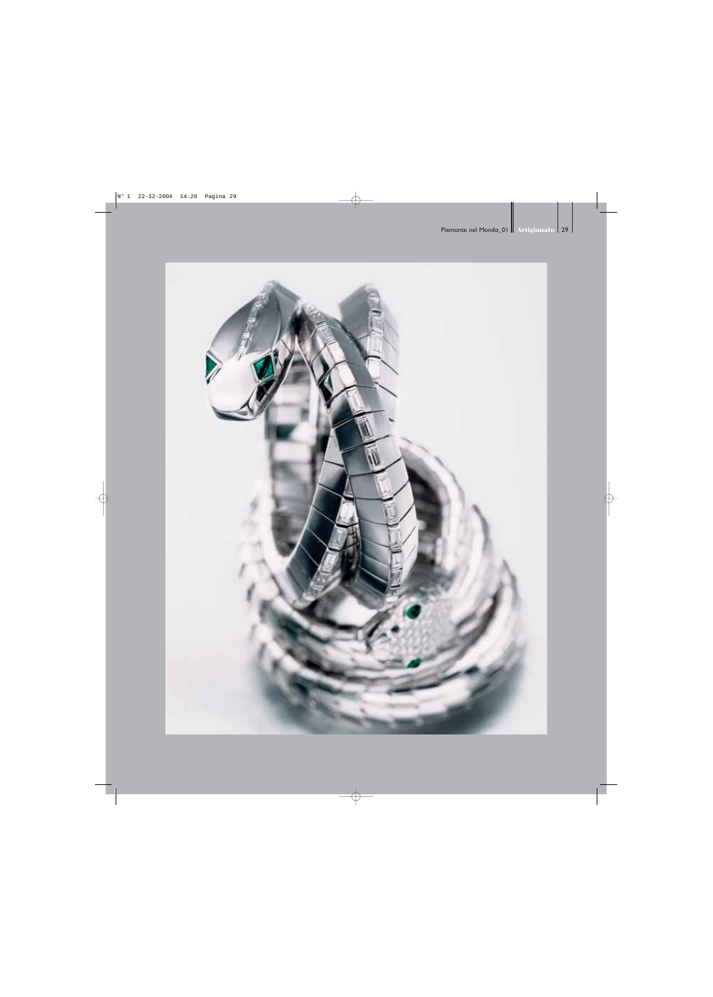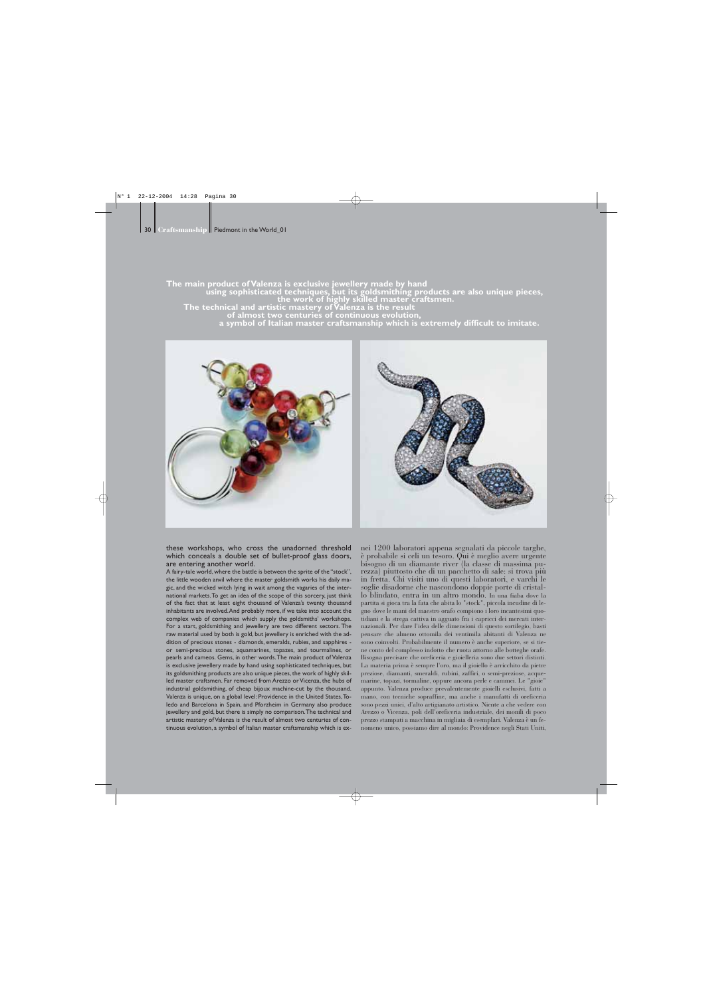The main product of Valenza is exclusive jewellery made by hand<br>using sophisticated techniques, but its goldsmithing products are also unique pieces,<br>the work of highly skilled master craftsmen. The technical and artistic mastery of Valenza is the result<br>of almost two centuries of continuous evolution, **a symbol of Italian master craftsmanship which is extremely difficult to imitate.**



these workshops, who cross the unadorned threshold which conceals a double set of bullet-proof glass doors, are entering another world.

A fairy-tale world, where the battle is between the sprite of the "stock", the little wooden anvil where the master goldsmith works his daily magic, and the wicked witch lying in wait among the vagaries of the international markets.To get an idea of the scope of this sorcery, just think of the fact that at least eight thousand of Valenza's twenty thousand inhabitants are involved.And probably more, if we take into account the complex web of companies which supply the goldsmiths' workshops. For a start, goldsmithing and jewellery are two different sectors. The raw material used by both is gold, but jewellery is enriched with the addition of precious stones - diamonds, emeralds, rubies, and sapphires or semi-precious stones, aquamarines, topazes, and tourmalines, or pearls and cameos. Gems, in other words.The main product of Valenza is exclusive jewellery made by hand using sophisticated techniques, but its goldsmithing products are also unique pieces, the work of highly skilled master craftsmen. Far removed from Arezzo or Vicenza, the hubs of industrial goldsmithing, of cheap bijoux machine-cut by the thousand. Valenza is unique, on a global level: Providence in the United States,Toledo and Barcelona in Spain, and Pforzheim in Germany also produce jewellery and gold, but there is simply no comparison.The technical and artistic mastery of Valenza is the result of almost two centuries of continuous evolution, a symbol of Italian master craftsmanship which is ex-

nei 1200 laboratori appena segnalati da piccole targhe, è probabile si celi un tesoro. Qui è meglio avere urgente bisogno di un diamante river (la classe di massima purezza) piuttosto che di un pacchetto di sale: si trova più in fretta. Chi visiti uno di questi laboratori, e varchi le soglie disadorne che nascondono doppie porte di cristallo blindato, entra in un altro mondo. In una fiaba dove la partita si gioca tra la fata che abita lo "stock", piccola incudine di legno dove le mani del maestro orafo compiono i loro incantesimi quotidiani e la strega cattiva in agguato fra i capricci dei mercati internazionali. Per dare l'idea delle dimensioni di questo sortilegio, basti pensare che almeno ottomila dei ventimila abitanti di Valenza ne sono coinvolti. Probabilmente il numero è anche superiore, se si tiene conto del complesso indotto che ruota attorno alle botteghe orafe. Bisogna precisare che oreficeria e gioielleria sono due settori distinti. La materia prima è sempre l'oro, ma il gioiello è arricchito da pietre preziose, diamanti, smeraldi, rubini, zaffìri, o semi-preziose, acquemarine, topazi, tormaline, oppure ancora perle e cammei. Le "gioie" appunto. Valenza produce prevalentemente gioielli esclusivi, fatti a mano, con tecniche sopraffine, ma anche i manufatti di oreficeria sono pezzi unici, d'alto artigianato artistico. Niente a che vedere con Arezzo o Vicenza, poli dell'oreficeria industriale, dei monili di poco prezzo stampati a macchina in migliaia di esemplari. Valenza è un fenomeno unico, possiamo dire al mondo: Providence negli Stati Uniti,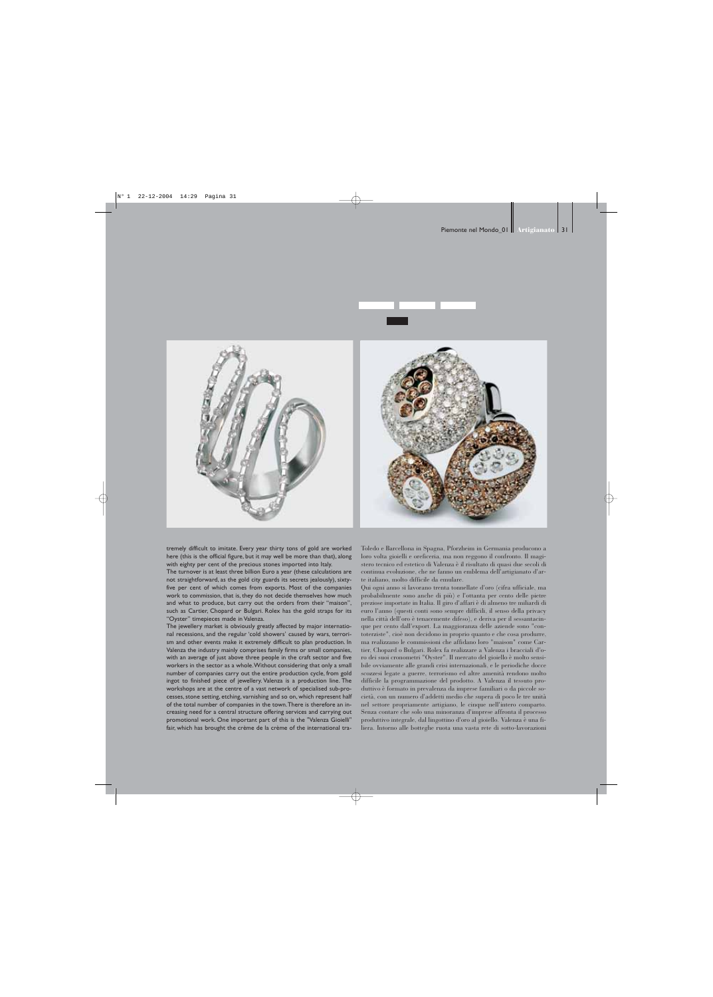



tremely difficult to imitate. Every year thirty tons of gold are worked here (this is the official figure, but it may well be more than that), along with eighty per cent of the precious stones imported into Italy.

The turnover is at least three billion Euro a year (these calculations are not straightforward, as the gold city guards its secrets jealously), sixtyfive per cent of which comes from exports. Most of the companies work to commission, that is, they do not decide themselves how much and what to produce, but carry out the orders from their "maison", such as Cartier, Chopard or Bulgari. Rolex has the gold straps for its "Oyster" timepieces made in Valenza.

The jewellery market is obviously greatly affected by major international recessions, and the regular 'cold showers' caused by wars, terrorism and other events make it extremely difficult to plan production. In Valenza the industry mainly comprises family firms or small companies, with an average of just above three people in the craft sector and five workers in the sector as a whole.Without considering that only a small number of companies carry out the entire production cycle, from gold ingot to finished piece of jewellery. Valenza is a production line. The workshops are at the centre of a vast network of specialised sub-processes, stone setting, etching, varnishing and so on, which represent half of the total number of companies in the town.There is therefore an increasing need for a central structure offering services and carrying out promotional work. One important part of this is the "Valenza Gioielli" fair, which has brought the crème de la crème of the international tra-



Toledo e Barcellona in Spagna, Pforzheim in Germania producono a loro volta gioielli e oreficeria, ma non reggono il confronto. Il magistero tecnico ed estetico di Valenza è il risultato di quasi due secoli di continua evoluzione, che ne fanno un emblema dell'artigianato d'arte italiano, molto difficile da emulare.

Qui ogni anno si lavorano trenta tonnellate d'oro (cifra ufficiale, ma probabilmente sono anche di più) e l'ottanta per cento delle pietre preziose importate in Italia. Il giro d'affari è di almeno tre miliardi di euro l'anno (questi conti sono sempre difficili, il senso della privacy nella città dell'oro è tenacemente difeso), e deriva per il sessantacinque per cento dall'export. La maggioranza delle aziende sono "contoterziste", cioè non decidono in proprio quanto e che cosa produrre, ma realizzano le commissioni che affidano loro "maison" come Cartier, Chopard o Bulgari. Rolex fa realizzare a Valenza i bracciali d'oro dei suoi cronometri "Oyster". Il mercato del gioiello è molto sensibile ovviamente alle grandi crisi internazionali, e le periodiche docce scozzesi legate a guerre, terrorismo ed altre amenità rendono molto difficile la programmazione del prodotto. A Valenza il tessuto produttivo è formato in prevalenza da imprese familiari o da piccole società, con un numero d'addetti medio che supera di poco le tre unità nel settore propriamente artigiano, le cinque nell'intero comparto. Senza contare che solo una minoranza d'imprese affronta il processo produttivo integrale, dal lingottino d'oro al gioiello. Valenza è una filiera. Intorno alle botteghe ruota una vasta rete di sotto-lavorazioni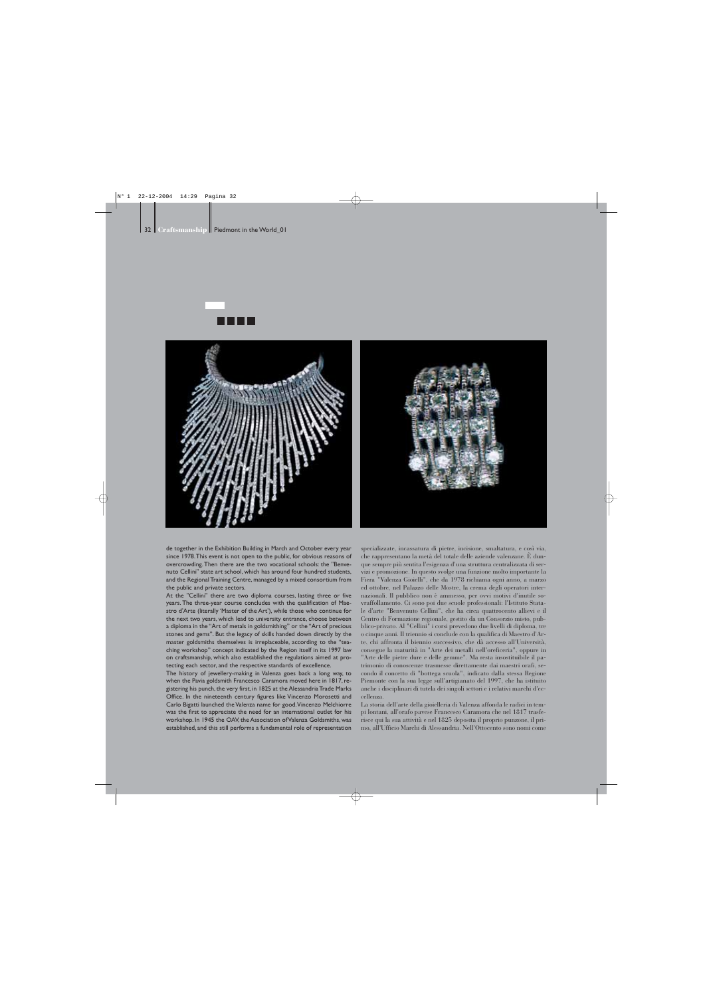



de together in the Exhibition Building in March and October every year since 1978.This event is not open to the public, for obvious reasons of overcrowding.Then there are the two vocational schools: the "Benvenuto Cellini" state art school, which has around four hundred students, and the Regional Training Centre, managed by a mixed consortium from the public and private sectors.

At the "Cellini" there are two diploma courses, lasting three or five years. The three-year course concludes with the qualification of Maestro d'Arte (literally 'Master of the Art'), while those who continue for the next two years, which lead to university entrance, choose between a diploma in the "Art of metals in goldsmithing" or the "Art of precious stones and gems". But the legacy of skills handed down directly by the master goldsmiths themselves is irreplaceable, according to the "teaching workshop" concept indicated by the Region itself in its 1997 law on craftsmanship, which also established the regulations aimed at protecting each sector, and the respective standards of excellence.

The history of jewellery-making in Valenza goes back a long way, to when the Pavia goldsmith Francesco Caramora moved here in 1817, registering his punch, the very first, in 1825 at the Alessandria Trade Marks Office. In the nineteenth century figures like Vincenzo Morosetti and Carlo Bigatti launched the Valenza name for good.Vincenzo Melchiorre was the first to appreciate the need for an international outlet for his workshop. In 1945 the OAV, the Association of Valenza Goldsmiths, was established, and this still performs a fundamental role of representation

specializzate, incassatura di pietre, incisione, smaltatura, e così via, che rappresentano la metà del totale delle aziende valenzane. È dunque sempre più sentita l'esigenza d'una struttura centralizzata di servizi e promozione. In questo svolge una funzione molto importante la Fiera "Valenza Gioielli", che da 1978 richiama ogni anno, a marzo ed ottobre, nel Palazzo delle Mostre, la crema degli operatori internazionali. Il pubblico non è ammesso, per ovvi motivi d'inutile sovraffollamento. Ci sono poi due scuole professionali: l'Istituto Statale d'arte "Benvenuto Cellini", che ha circa quattrocento allievi e il Centro di Formazione regionale, gestito da un Consorzio misto, pubblico-privato. Al "Cellini" i corsi prevedono due livelli di diploma, tre o cinque anni. Il triennio si conclude con la qualifica di Maestro d'Arte, chi affronta il biennio successivo, che dà accesso all'Università, consegue la maturità in "Arte dei metalli nell'oreficeria", oppure in "Arte delle pietre dure e delle gemme". Ma resta insostituibile il patrimonio di conoscenze trasmesse direttamente dai maestri orafi, secondo il concetto di "bottega scuola", indicato dalla stessa Regione Piemonte con la sua legge sull'artigianato del 1997, che ha istituito anche i disciplinari di tutela dei singoli settori e i relativi marchi d'eccellenza.

La storia dell'arte della gioielleria di Valenza affonda le radici in tempi lontani, all'orafo pavese Francesco Caramora che nel 1817 trasferisce qui la sua attività e nel 1825 deposita il proprio punzone, il primo, all'Ufficio Marchi di Alessandria. Nell'Ottocento sono nomi come